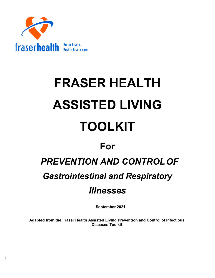

# **FRASER HEALTH ASSISTED LIVING TOOLKIT**

# **For**

# *PREVENTION AND CONTROLOF*

# *Gastrointestinal and Respiratory*

# *Illnesses*

**September 2021**

**Adapted from the Fraser Health Assisted Living Prevention and Control of Infectious Diseases Toolkit**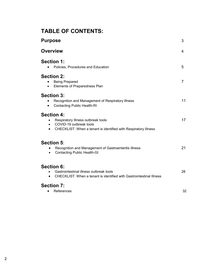# **TABLE OF CONTENTS:**

| <b>Purpose</b>                                                                                                                                                     | 3              |
|--------------------------------------------------------------------------------------------------------------------------------------------------------------------|----------------|
| <b>Overview</b>                                                                                                                                                    | 4              |
| <b>Section 1:</b><br>Policies, Procedures and Education<br>$\bullet$                                                                                               | 5              |
| <b>Section 2:</b><br><b>Being Prepared</b><br>Elements of Preparedness Plan                                                                                        | $\overline{7}$ |
| <b>Section 3:</b><br>Recognition and Management of Respiratory Illness<br><b>Contacting Public Health-RI</b>                                                       | 11             |
| <b>Section 4:</b><br>Respiratory Illness outbreak tools<br>COVID-19 outbreak tools<br>$\bullet$<br>CHECKLIST: When a tenant is identified with Respiratory Illness | 17             |
| Section 5:<br>Recognition and Management of Gastroenteritis Illness<br>$\bullet$<br><b>Contacting Public Health-GI</b><br>$\bullet$                                | 21             |
| <b>Section 6:</b><br>Gastrointestinal illness outbreak tools<br>CHECKLIST: When a tenant is identified with Gastrointestinal Illness<br>$\bullet$                  | 28             |
| <b>Section 7:</b><br>References                                                                                                                                    | 32             |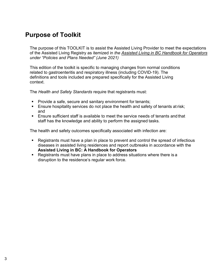# **Purpose of Toolkit**

The purpose of this TOOLKIT is to assist the Assisted Living Provider to meet the expectations of the Assisted Living Registry as itemized in *the [Assisted Living in BC Handbook for Operators](https://www2.gov.bc.ca/assets/gov/health/accessing-health-care/assisted-living-registry/handbook-seniors-persons-with-disabilities.pdf) under "Policies and Plans Needed" (June 2021)*

This edition of the toolkit is specific to managing changes from normal conditions related to gastroenteritis and respiratory illness (including COVID-19). The definitions and tools included are prepared specifically for the Assisted Living context.

The *Health and Safety Standards* require that registrants must:

- **Provide a safe, secure and sanitary environment for tenants;**
- **Ensure hospitality services do not place the health and safety of tenants at risk;** and
- Ensure sufficient staff is available to meet the service needs of tenants and that staff has the knowledge and ability to perform the assigned tasks.

The health and safety outcomes specifically associated with infection are:

- Registrants must have a plan in place to prevent and control the spread of infectious diseases in assisted living residences and report outbreaks in accordance with the **Assisted Living in BC: A Handbook for Operators**
- Registrants must have plans in place to address situations where there is a disruption to the residence's regular work force.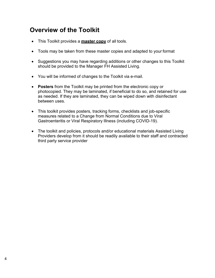# **Overview of the Toolkit**

- This Toolkit provides a **master copy** of all tools.
- Tools may be taken from these master copies and adapted to your format
- Suggestions you may have regarding additions or other changes to this Toolkit should be provided to the Manager FH Assisted Living.
- You will be informed of changes to the Toolkit via e-mail.
- **Posters** from the Toolkit may be printed from the electronic copy or photocopied. They may be laminated, if beneficial to do so, and retained for use as needed. If they are laminated, they can be wiped down with disinfectant between uses.
- This toolkit provides posters, tracking forms, checklists and job-specific measures related to a Change from Normal Conditions due to Viral Gastroenteritis or Viral Respiratory Illness (including COVID-19).
- The toolkit and policies, protocols and/or educational materials Assisted Living Providers develop from it should be readily available to their staff and contracted third party service provider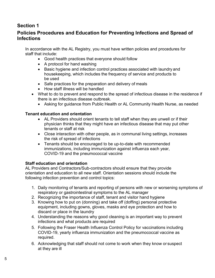# <span id="page-4-0"></span>**Section 1**

# **Policies Procedures and Education for Preventing Infections and Spread of Infections**

In accordance with the AL Registry, you must have written policies and procedures for staff that include:

- Good health practices that everyone should follow
- A protocol for hand washing
- Basic hygiene and infection control practices associated with laundry and housekeeping, which includes the frequency of service and products to be used
- Safe practices for the preparation and delivery of meals
- How staff illness will be handled
- What to do to prevent and respond to the spread of infectious disease in the residence if there is an infectious disease outbreak.
	- Asking for guidance from Public Health or AL Community Health Nurse, as needed

#### **Tenant education and orientation**

- AL Providers should orient tenants to tell staff when they are unwell or if their physician thinks that they might have an infectious disease that may put other tenants or staff at risk
- Close interaction with other people, as in communal living settings, increases the risk of spread of infections
- Tenants should be encouraged to be up-to-date with recommended immunizations, including immunization against influenza each year, COVID-19 and the pneumococcal vaccine

#### **Staff education and orientation**

AL Providers and Contractors/Sub-contractors should ensure that they provide orientation and education to all new staff. Orientation sessions should include the following infection prevention and control topics:

- 1. Daily monitoring of tenants and reporting of persons with new or worsening symptoms of respiratory or gastrointestinal symptoms to the AL manager
- 2. Recognizing the importance of staff, tenant and visitor hand hygiene
- 3. Knowing how to put on (donning) and take off (doffing) personal protective equipment, including gowns, gloves, masks and eye protection and how to discard or place in the laundry
- 4. Understanding the reasons why good cleaning is an important way to prevent infections and what products are required
- 5. Following the Fraser Health Influenza Control Policy for vaccinations including COVID-19, yearly influenza immunization and the pneumococcal vaccine as required.
- 6. Acknowledging that staff should not come to work when they know or suspect at they are ill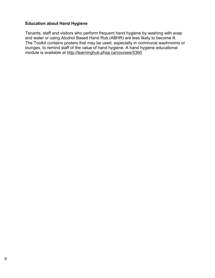#### **Education about Hand Hygiene**

Tenants, staff and visitors who perform frequent hand hygiene by washing with soap and water or using Alcohol Based Hand Rub (ABHR) are less likely to become ill. The Toolkit contains posters that may be used, especially in communal washrooms or lounges, to remind staff of the value of hand hygiene. A hand hygiene educational module is available at <http://learninghub.phsa.ca/courses/5360>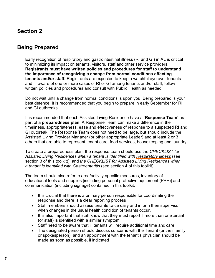# <span id="page-6-0"></span>**Section 2**

# <span id="page-6-1"></span>**Being Prepared**

Early recognition of respiratory and gastrointestinal illness (RI and GI) in AL is critical to minimizing its impact on tenants, visitors, staff and other service providers. **Registrants must have written policies and procedures for staff to understand the importance of recognizing a change from normal conditions affecting tenants and/or staff.** Registrants are expected to keep a watchful eye over tenants and, if aware of one or more cases of RI or GI among tenants and/or staff, follow written policies and procedures and consult with Public Health as needed.

Do not wait until a change from normal conditions is upon you. Being prepared is your best defence. It is recommended that you begin to prepare in early September for RI and GI outbreaks.

It is recommended that each Assisted Living Residence have a **'Response Team'** as part of a **preparedness plan**. A Response Team can make a difference in the timeliness, appropriateness, ease and effectiveness of response to a suspected RI and GI outbreak. The Response Team does not need to be large, but should include the Assisted Living Provider Manager (or other appropriate Leader) and at least 2 or 3 others that are able to represent tenant care, food services, housekeeping and laundry.

To create a preparedness plan, the response team should use the *CHECKLIST for Assisted Living Residences when a tenant is identified with Respiratory Illness* (see section 3 of this toolkit)), and *the CHECKLIST for Assisted Living Residences when a tenant is identified with Gastroenteritis* (see section 4 of this toolkit).

The team should also refer to area/activity-specific measures, inventory of educational tools and supplies [including personal protective equipment (PPE)] and communication (including signage) contained in this toolkit.

- It is crucial that there is a primary person responsible for coordinating the response and there is a clear reporting process
- Staff members should assess tenants twice daily and inform their supervisor when changes in the usual health condition of tenants occur.
- It is also important that staff know that they must report if more than one tenant (or staff) is identified with a similar symptom
- Staff need to be aware that ill tenants will require additional time and care.
- The designated person should discuss concerns with the Tenant (or their family or spokesperson), and an appointment with the tenant's physician should be made as soon as possible, if indicated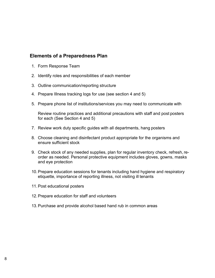#### **Elements of a Preparedness Plan**

- 1. Form Response Team
- 2. Identify roles and responsibilities of each member
- 3. Outline communication/reporting structure
- 4. Prepare Illness tracking logs for use (see section 4 and 5)
- 5. Prepare phone list of institutions/services you may need to communicate with

Review routine practices and additional precautions with staff and post posters for each (See Section 4 and 5)

- 7. Review work duty specific guides with all departments, hang posters
- 8. Choose cleaning and disinfectant product appropriate for the organisms and ensure sufficient stock
- 9. Check stock of any needed supplies, plan for regular inventory check, refresh, reorder as needed. Personal protective equipment includes gloves, gowns, masks and eye protection
- 10.Prepare education sessions for tenants including hand hygiene and respiratory etiquette, importance of reporting illness, not visiting ill tenants
- 11.Post educational posters
- 12.Prepare education for staff and volunteers
- 13.Purchase and provide alcohol based hand rub in common areas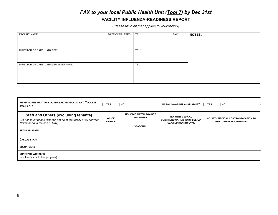# *FAX to your local Public Health Unit (Tool 7) by Dec 31st*

#### **FACILITY INFLUENZA-READINESS REPORT**

*(Please fill in all that applies to your facility)*

| <b>FACILITY NAME:</b>               | DATE COMPLETED: | TEL: | FAX: | <b>NOTES:</b> |
|-------------------------------------|-----------------|------|------|---------------|
|                                     |                 |      |      |               |
|                                     |                 |      |      |               |
| DIRECTOR OF CARE/MANAGER:           |                 | TEL: |      |               |
|                                     |                 |      |      |               |
|                                     |                 |      |      |               |
| DIRECTOR OF CARE/MANAGER ALTERNATE: |                 | TEL: |      |               |
|                                     |                 |      |      |               |
|                                     |                 |      |      |               |
|                                     |                 |      |      |               |

<span id="page-8-0"></span>

| FH VIRAL RESPIRATORY OUTBREAK PROTOCOL AND TOOLKIT<br><b>AVAILABLE:</b>                             | <b>YES</b>    | Ino                                               | NASAL SWAB KIT AVAILABLE?: TYES                                   | $\Box$ NO                            |
|-----------------------------------------------------------------------------------------------------|---------------|---------------------------------------------------|-------------------------------------------------------------------|--------------------------------------|
| <b>Staff and Others (excluding tenants)</b>                                                         | NO. OF        | <b>NO. VACCINATED AGAINST</b><br><b>INFLUENZA</b> | <b>NO. WITH MEDICAL</b>                                           | NO. WITH MEDICAL CONTRAINDICATION TO |
| (Do not count people who will not be at the facility at all between<br>November and the end of May) | <b>PEOPLE</b> | <b>SEASONAL</b>                                   | <b>CONTRAINDICATION TO INFLUENZA</b><br><b>VACCINE DOCUMENTED</b> | <b>OSELTAMIVIR DOCUMENTED</b>        |
| <b>REGULAR STAFF</b>                                                                                |               |                                                   |                                                                   |                                      |
| <b>CASUAL STAFF</b>                                                                                 |               |                                                   |                                                                   |                                      |
| <b>VOLUNTEERS</b>                                                                                   |               |                                                   |                                                                   |                                      |
| <b>CONTRACT WORKERS</b><br>(not Facility or FH employees)                                           |               |                                                   |                                                                   |                                      |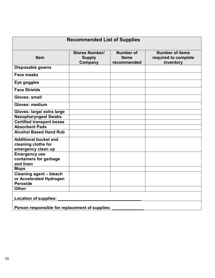| <b>Recommended List of Supplies</b>                                       |                                                   |                                          |                                                             |  |
|---------------------------------------------------------------------------|---------------------------------------------------|------------------------------------------|-------------------------------------------------------------|--|
| <b>Item</b>                                                               | <b>Stores Number/</b><br><b>Supply</b><br>Company | Number of<br><b>Items</b><br>recommended | <b>Number of items</b><br>required to complete<br>inventory |  |
| <b>Disposable gowns</b>                                                   |                                                   |                                          |                                                             |  |
| <b>Face masks</b>                                                         |                                                   |                                          |                                                             |  |
| Eye goggles                                                               |                                                   |                                          |                                                             |  |
| <b>Face Shields</b>                                                       |                                                   |                                          |                                                             |  |
| <b>Gloves: small</b>                                                      |                                                   |                                          |                                                             |  |
| <b>Gloves: medium</b>                                                     |                                                   |                                          |                                                             |  |
| Gloves: large/ extra large                                                |                                                   |                                          |                                                             |  |
| <b>Nasopharyngeal Swabs</b>                                               |                                                   |                                          |                                                             |  |
| <b>Certified transport boxes</b>                                          |                                                   |                                          |                                                             |  |
| <b>Absorbent Pads</b>                                                     |                                                   |                                          |                                                             |  |
| <b>Alcohol Based Hand Rub</b>                                             |                                                   |                                          |                                                             |  |
| <b>Additional bucket and</b><br>cleaning cloths for<br>emergency clean up |                                                   |                                          |                                                             |  |
| <b>Emergency use</b><br>containers for garbage<br>and linen               |                                                   |                                          |                                                             |  |
| <b>Mops</b>                                                               |                                                   |                                          |                                                             |  |
| <b>Cleaning agent - bleach</b>                                            |                                                   |                                          |                                                             |  |
| or Accelerated Hydrogen                                                   |                                                   |                                          |                                                             |  |
| <b>Peroxide</b>                                                           |                                                   |                                          |                                                             |  |
| Other:                                                                    |                                                   |                                          |                                                             |  |
| <b>Location of supplies:</b>                                              |                                                   |                                          |                                                             |  |
| Person responsible for replacement of supplies:                           |                                                   |                                          |                                                             |  |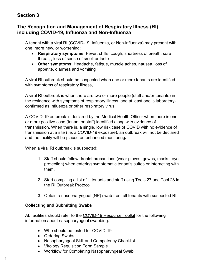# <span id="page-10-0"></span>**Section 3**

## **The Recognition and Management of Respiratory Illness (RI), including COVID-19, Influenza and Non-Influenza**

A tenant with a viral RI (COVID-19, Influenza, or Non-influenza) may present with one, more new, or worsening:

- **Respiratory symptoms**: Fever, chills, cough, shortness of breath, sore throat, , loss of sense of smell or taste
- **Other symptoms**: Headache, fatigue, muscle aches, nausea, loss of appetite, diarrhea and vomiting

A viral RI outbreak should be suspected when one or more tenants are identified with symptoms of respiratory illness,

A viral RI outbreak is when there are two or more people (staff and/or tenants) in the residence with symptoms of respiratory illness, and at least one is laboratoryconfirmed as Influenza or other respiratory virus

A COVID-19 outbreak is declared by the Medical Health Officer when there is one or more positive case (tenant or staff) identified along with evidence of transmission. When there is, a single, low risk case of COVID with no evidence of transmission at a site (i.e. a COVID-19 exposure), an outbreak will not be declared and the facility will be placed on enhanced monitoring**.** 

When a viral RI outbreak is suspected:

- 1. Staff should follow droplet precautions (wear gloves, gowns, masks, eye protection) when entering symptomatic tenant's suites or interacting with them.
- 2. Start compiling a list of ill tenants and staff using [Tools 27](https://www.fraserhealth.ca/-/media/Project/FraserHealth/FraserHealth/employees/clinical-resources/coronavirus-information/ltc-al-li/resources2/Reporting-to-Public-Health/Respiratory_outbreaks_protocol_COVID_Tool27_2021_fillable.pdf?la=en&rev=219a040a099a43ad97d71b63ec326ac0&hash=6292C531743DE2414D6729FD1F7A247E15C35D96) and [Tool](https://www.fraserhealth.ca/-/media/Project/FraserHealth/FraserHealth/employees/clinical-resources/coronavirus-information/ltc-al-li/resources2/Reporting-to-Public-Health/Respiratory_outbreaks_protocol_COVID_Tool28_2021_fillable.pdf?la=en&rev=20055e25fbcc405cbf23cdab970e2974&hash=BCC8CBC843F0EA21B3E80C4CA5949C663DE164B2) 28 in the [RI Outbreak Protocol](https://www.fraserhealth.ca/-/media/Project/FraserHealth/FraserHealth/Health-Topics/Long-term-care-licensing/Clinical-and-Safety-Information/Respiratory_outbreaks_protocol.pdf?la=en&hash=119EC83A8EBD0D858746488187BCCF6CE245905B)
- 3. Obtain a nasopharyngeal (NP) swab from all tenants with suspected RI

#### **Collecting and Submitting Swabs**

AL facilities should refer to the [COVID-19 Resource Toolkit](https://www.fraserhealth.ca/employees/clinical-resources/coronavirus-information/ltc-al-il/resources#.X029Csuos2x) for the following information about nasopharyngeal swabbing:

- Who should be tested for COVID-19
- Ordering Swabs
- Nasopharyngeal Skill and Competency Checklist
- Virology Requisition Form Sample
- Workflow for Completing Nasopharyngeal Swab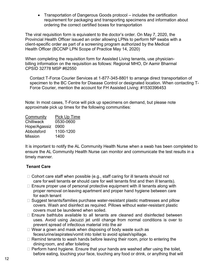• Transportation of Dangerous Goods protocol – includes the certification requirement for packaging and transporting specimens and information about ordering the correct certified boxes for transportation

The viral requisition form is equivalent to the doctor's order. On May 7, 2020, the Provincial Health Officer issued an order allowing LPNs to perform NP swabs with a client-specific order as part of a screening program authorized by the Medical Health Officer (BCCNP LPN Scope of Practice May 14, 2020)

When completing the requisition form for Assisted Living tenants, use physicianbilling information on the requisition as follows: Regional MHO, Dr Aamir Bharmal CPSID 32778 MSP #62550

Contact T-Force Courier Services at 1-877-345-8801 to arrange direct transportation of specimen to the BC Centre for Disease Control or designated location. When contacting T-Force Courier, mention the account for FH Assisted Living: #1530396453

Note: In most cases, T-Force will pick up specimens on demand, but please note approximate pick up times for the following communities:

| Community      | Pick Up Time |
|----------------|--------------|
| Chilliwack     | 0530-0600    |
| Hope/Agassiz   | 0900         |
| Abbotsford     | 1100-1200    |
| <b>Mission</b> | 1400         |

It is important to notify the AL Community Health Nurse when a swab has been completed to ensure the AL Community Health Nurse can monitor and communicate the test results in a timely manner.

#### **Tenant Care**

- $\Box$  Cohort care staff when possible (e.g., staff caring for ill tenants should not care for well tenants **or** should care for well tenants first and then ill tenants).
- $\Box$  Ensure proper use of personal protective equipment with ill tenants along with proper removal on leaving apartment and proper hand hygiene between care for each tenant
- $\Box$  Suggest tenants/families purchase water-resistant plastic mattresses and pillow covers. Wash and disinfect as required. Pillows without water-resistant plastic covers must be laundered when soiled.
- $\Box$  Ensure bathtubs available to all tenants are cleaned and disinfected between uses. Avoid using Jacuzzi jet until change from normal conditions is over to prevent spread of infectious material into the air
- $\Box$  Wear a gown and mask when disposing of body waste such as feces/urine/aspirates/vomit into toilet to avoid splash/spillage.
- $\Box$  Remind tenants to wash hands before leaving their room, prior to entering the dining room, and after toileting
- $\Box$  Perform hand hygiene. Ensure that your hands are washed after using the toilet, before eating, touching your face, touching any food or drink, or anything that will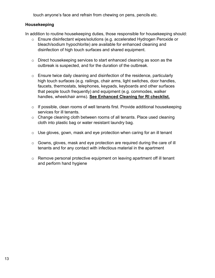touch anyone's face and refrain from chewing on pens, pencils etc.

#### **Housekeeping**

In addition to routine housekeeping duties, those responsible for housekeeping should:

- o Ensure disinfectant wipes/solutions (e.g. accelerated Hydrogen Peroxide or bleach/sodium hypochlorite) are available for enhanced cleaning and disinfection of high touch surfaces and shared equipment.
- o Direct housekeeping services to start enhanced cleaning as soon as the outbreak is suspected, and for the duration of the outbreak.
- $\circ$  Ensure twice daily cleaning and disinfection of the residence, particularly high touch surfaces (e.g. railings, chair arms, light switches, door handles, faucets, thermostats, telephones, keypads, keyboards and other surfaces that people touch frequently) and equipment (e.g. commodes, walker handles, wheelchair arms). **[See Enhanced Cleaning for RI checklist.](https://www.fraserhealth.ca/-/media/Project/FraserHealth/FraserHealth/employees/clinical-resources/coronavirus-information/ltc-al-li/resources/Resources/COVID-19-LTC_AL_MHSU_EquimentEnhancedCleaningGuidelines-Apr-24.pdf?la=en&hash=3A1906D82828821E1A4E2780547E434FF3C87888)**
- $\circ$  If possible, clean rooms of well tenants first. Provide additional housekeeping services for ill tenants.
- o Change cleaning cloth between rooms of all tenants. Place used cleaning cloth into plastic bag or water resistant laundry bag.
- o Use gloves, gown, mask and eye protection when caring for an ill tenant
- o Gowns, gloves, mask and eye protection are required during the care of ill tenants and for any contact with infectious material in the apartment
- $\circ$  Remove personal protective equipment on leaving apartment off ill tenant and perform hand hygiene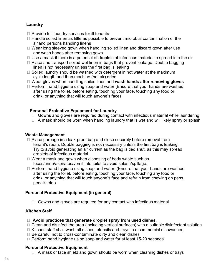#### **Laundry**

- $\Box$  Provide full laundry services for ill tenants
- $\Box$  Handle soiled linen as little as possible to prevent microbial contamination of the air and persons handling linens
- $\Box$  Wear long sleeved gown when handling soiled linen and discard gown after use and wash hands after removing gown
- $\Box$  Use a mask if there is a potential of droplets of infectious material to spread into the air
- $\Box$  Place and transport soiled wet linen in bags that prevent leakage. Double bagging linen is not necessary unless the first bag is leaking
- $\Box$  Soiled laundry should be washed with detergent in hot water at the maximum cycle length and then machine (hot air) dried
- Wear gloves when handling soiled linen and **wash hands after removing gloves**
- $\Box$  Perform hand hygiene using soap and water (Ensure that your hands are washed after using the toilet, before eating, touching your face, touching any food or drink, or anything that will touch anyone's face)

#### **Personal Protective Equipment for Laundry**

- $\Box$  Gowns and gloves are required during contact with infectious material while laundering
- $\Box$  A mask should be worn when handling laundry that is wet and will likely spray or splash

#### **Waste Management**

- $\Box$  Place garbage in a leak-proof bag and close securely before removal from tenant's room. Double bagging is not necessary unless the first bag is leaking. Try to avoid generating an air current as the bag is tied shut, as this may spread droplets of infectious material
- $\Box$  Wear a mask and gown when disposing of body waste such as feces/urine/aspirates/vomit into toilet to avoid splash/spillage.
- $\Box$  Perform hand hygiene using soap and water. (Ensure that your hands are washed after using the toilet, before eating, touching your face, touching any food or drink, or anything that will touch anyone's face and refrain from chewing on pens, pencils etc.)

#### **Personal Protective Equipment (in general)**

 $\Box$  Gowns and gloves are required for any contact with infectious material

#### **Kitchen Staff**

- **Avoid practices that generate droplet spray from used dishes.**
- $\Box$  Clean and disinfect the area (including vertical surfaces) with a suitable disinfectant solution.
- $\Box$  Kitchen staff shall wash all dishes, utensils and trays in a commercial dishwasher;
- $\Box$  Be careful not to cross-contaminate dirty and clean dishes
- $\Box$  Perform hand hygiene using soap and water for at least 15-20 seconds

#### **Personal Protective Equipment**

 $\Box$  A mask or face shield and gown should be worn when cleaning dishes or trays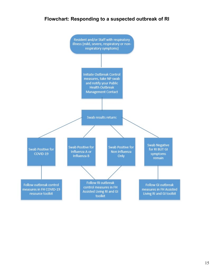# **Flowchart: Responding to a suspected outbreak of RI**

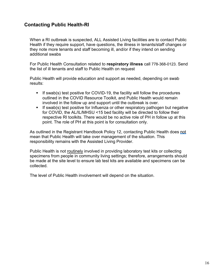# **Contacting Public Health-RI**

When a RI outbreak is suspected, ALL Assisted Living facilities are to contact Public Health if they require support, have questions, the illness in tenants/staff changes or they note more tenants and staff becoming ill, and/or if they intend on sending additional swabs

For Public Health Consultation related to **respiratory illness** call 778-368-0123. Send the list of ill tenants and staff to Public Health on request

Public Health will provide education and support as needed, depending on swab results:

- If swab(s) test positive for COVID-19, the facility will follow the procedures outlined in the COVID Resource Toolkit, and Public Health would remain involved in the follow up and support until the outbreak is over.
- If swab(s) test positive for Influenza or other respiratory pathogen but negative for COVID, the AL/IL/MHSU <15 bed facility will be directed to follow their respective RI toolkits. There would be no active role of PH in follow up at this point. The role of PH at this point is for consultation only.

As outlined in the Registrant Handbook Policy 12, contacting Public Health does not mean that Public Health will take over management of the situation. This responsibility remains with the Assisted Living Provider.

Public Health is not routinely involved in providing laboratory test kits or collecting specimens from people in community living settings; therefore, arrangements should be made at the site level to ensure lab test kits are available and specimens can be collected.

The level of Public Health involvement will depend on the situation.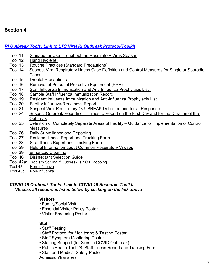# **Section 4**

#### *[RI Outbreak Tools: Link to LTC Viral RI Outbreak Protocol/Toolkit](https://www.fraserhealth.ca/-/media/Project/FraserHealth/FraserHealth/Health-Topics/Long-term-care-licensing/Clinical-and-Safety-Information/2020-Viral-RI-outbreak-protocol-toolkit.pdf?la=en&rev=eb1186e942354f238313ede44880660c&hash=05AA6D222C33A3ABB2BCA9C3356D675161B95073)*

- Tool 11: [Signage for Use throughout the Respiratory Virus Season](https://www.fraserhealth.ca/-/media/Project/FraserHealth/FraserHealth/Health-Topics/Long-term-care-licensing/Clinical-and-Safety-Information/Respiratory_outbreaks_protocol.pdf?la=en&hash=119EC83A8EBD0D858746488187BCCF6CE245905B#page=27)
- Tool 12: [Hand Hygiene](https://www.fraserhealth.ca/-/media/Project/FraserHealth/FraserHealth/Health-Topics/Long-term-care-licensing/Clinical-and-Safety-Information/Respiratory_outbreaks_protocol.pdf?la=en&hash=119EC83A8EBD0D858746488187BCCF6CE245905B#page=30)
- Tool 13: [Routine Practices \(Standard Precautions\)](https://www.fraserhealth.ca/-/media/Project/FraserHealth/FraserHealth/Health-Topics/Long-term-care-licensing/Clinical-and-Safety-Information/Respiratory_outbreaks_protocol.pdf?la=en&hash=119EC83A8EBD0D858746488187BCCF6CE245905B#page=35)
- Tool 14: [Suspect Viral Respiratory Illness Case Definition and Control Measures for Single or Sporadic](https://www.fraserhealth.ca/-/media/Project/FraserHealth/FraserHealth/Health-Topics/Long-term-care-licensing/Clinical-and-Safety-Information/Respiratory_outbreaks_protocol.pdf?la=en&hash=119EC83A8EBD0D858746488187BCCF6CE245905B#page=37)  [Cases](https://www.fraserhealth.ca/-/media/Project/FraserHealth/FraserHealth/Health-Topics/Long-term-care-licensing/Clinical-and-Safety-Information/Respiratory_outbreaks_protocol.pdf?la=en&hash=119EC83A8EBD0D858746488187BCCF6CE245905B#page=37)
- Tool 15: [Droplet Precautions](https://www.fraserhealth.ca/-/media/Project/FraserHealth/FraserHealth/Health-Topics/Long-term-care-licensing/Clinical-and-Safety-Information/Respiratory_outbreaks_protocol.pdf?la=en&hash=119EC83A8EBD0D858746488187BCCF6CE245905B#page=39)
- Tool 16: [Removal of Personal Protective Equipment \(PPE\)](https://www.fraserhealth.ca/-/media/Project/FraserHealth/FraserHealth/Health-Topics/Long-term-care-licensing/Clinical-and-Safety-Information/Respiratory_outbreaks_protocol.pdf?la=en&hash=119EC83A8EBD0D858746488187BCCF6CE245905B#page=40)
- Tool 17: [Staff Influenza Immunization and Anti-Influenza Prophylaxis](https://www.fraserhealth.ca/-/media/Project/FraserHealth/FraserHealth/Health-Topics/Long-term-care-licensing/Clinical-and-Safety-Information/Respiratory_outbreaks_protocol.pdf?la=en&hash=119EC83A8EBD0D858746488187BCCF6CE245905B#page=41) List
- Tool 18: [Sample Staff Influenza Immunization Record](https://www.fraserhealth.ca/-/media/Project/FraserHealth/FraserHealth/Health-Topics/Long-term-care-licensing/Clinical-and-Safety-Information/Respiratory_outbreaks_protocol.pdf?la=en&hash=119EC83A8EBD0D858746488187BCCF6CE245905B#page=44)
- Tool 19: [Resident Influenza Immunization and Anti-Influenza Prophylaxis List](https://www.fraserhealth.ca/-/media/Project/FraserHealth/FraserHealth/Health-Topics/Long-term-care-licensing/Clinical-and-Safety-Information/Respiratory_outbreaks_protocol.pdf?la=en&hash=119EC83A8EBD0D858746488187BCCF6CE245905B#page=46)
- Tool 20: [Facility Influenza-Readiness Report](https://www.fraserhealth.ca/-/media/Project/FraserHealth/FraserHealth/Health-Topics/Long-term-care-licensing/Clinical-and-Safety-Information/Respiratory_outbreaks_protocol.pdf?la=en&hash=119EC83A8EBD0D858746488187BCCF6CE245905B#page=48)
- Tool 21: [Suspect Viral Respiratory OUTBREAK Definition and Initial Response](https://www.fraserhealth.ca/-/media/Project/FraserHealth/FraserHealth/Health-Topics/Long-term-care-licensing/Clinical-and-Safety-Information/Respiratory_outbreaks_protocol.pdf?la=en&hash=119EC83A8EBD0D858746488187BCCF6CE245905B#page=50)<br>Tool 24: Suspect Outbreak Reporting—Things to Report on the First Dav and fo
- Suspect Outbreak Reporting—Things to Report on the First Day and for the Duration of the **[Outbreak](https://www.fraserhealth.ca/-/media/Project/FraserHealth/FraserHealth/Health-Topics/Long-term-care-licensing/Clinical-and-Safety-Information/Respiratory_outbreaks_protocol.pdf?la=en&hash=119EC83A8EBD0D858746488187BCCF6CE245905B#page=54)**
- Tool 25: [Definition of Completely Separate Areas of Facility –](https://www.fraserhealth.ca/-/media/Project/FraserHealth/FraserHealth/Health-Topics/Long-term-care-licensing/Clinical-and-Safety-Information/Respiratory_outbreaks_protocol.pdf?la=en&hash=119EC83A8EBD0D858746488187BCCF6CE245905B#page=55) Guidance for Implementation of Control [Measures](https://www.fraserhealth.ca/-/media/Project/FraserHealth/FraserHealth/Health-Topics/Long-term-care-licensing/Clinical-and-Safety-Information/Respiratory_outbreaks_protocol.pdf?la=en&hash=119EC83A8EBD0D858746488187BCCF6CE245905B#page=55)
- Tool 26: [Daily Surveillance and Reporting](https://www.fraserhealth.ca/-/media/Project/FraserHealth/FraserHealth/Health-Topics/Long-term-care-licensing/Clinical-and-Safety-Information/Respiratory_outbreaks_protocol.pdf?la=en&hash=119EC83A8EBD0D858746488187BCCF6CE245905B#page=56)
- Tool 27: [Resident Illness Report and Tracking Form](https://www.fraserhealth.ca/-/media/Project/FraserHealth/FraserHealth/employees/clinical-resources/coronavirus-information/ltc-al-li/resources2/Reporting-to-Public-Health/Respiratory_outbreaks_protocol_COVID_Tool27_2021_fillable.pdf?la=en&rev=219a040a099a43ad97d71b63ec326ac0&hash=6292C531743DE2414D6729FD1F7A247E15C35D96)<br>Tool 28: Staff Illness Report and Tracking Form
- [Staff Illness Report and Tracking Form](https://www.fraserhealth.ca/-/media/Project/FraserHealth/FraserHealth/Health-Topics/Long-term-care-licensing/Clinical-and-Safety-Information/Respiratory_outbreaks_protocol.pdf?la=en&hash=119EC83A8EBD0D858746488187BCCF6CE245905B#page=58)
- Tool 29: [Helpful Information about Common Respiratory Viruses](https://www.fraserhealth.ca/-/media/Project/FraserHealth/FraserHealth/Health-Topics/Long-term-care-licensing/Clinical-and-Safety-Information/Respiratory_outbreaks_protocol.pdf?la=en&hash=119EC83A8EBD0D858746488187BCCF6CE245905B#page=59)
- Tool 39: [Enhanced Cleaning](https://www.fraserhealth.ca/-/media/Project/FraserHealth/FraserHealth/Health-Topics/Long-term-care-licensing/Clinical-and-Safety-Information/Respiratory_outbreaks_protocol.pdf?la=en&hash=119EC83A8EBD0D858746488187BCCF6CE245905B#page=80)
- Tool 40: [Disinfectant Selection Guide](https://www.fraserhealth.ca/-/media/Project/FraserHealth/FraserHealth/Health-Topics/Long-term-care-licensing/Clinical-and-Safety-Information/Respiratory_outbreaks_protocol.pdf?la=en&hash=119EC83A8EBD0D858746488187BCCF6CE245905B#page=83)
- Tool 42a: [Problem Solving if Outbreak is NOT Stopping](https://www.fraserhealth.ca/-/media/Project/FraserHealth/FraserHealth/Health-Topics/Long-term-care-licensing/Clinical-and-Safety-Information/Respiratory_outbreaks_protocol.pdf?la=en&hash=119EC83A8EBD0D858746488187BCCF6CE245905B#page=89)
- Tool 42b: [Non-Influenza](https://www.fraserhealth.ca/-/media/Project/FraserHealth/FraserHealth/Health-Topics/Long-term-care-licensing/Clinical-and-Safety-Information/Respiratory_outbreaks_protocol.pdf?la=en&hash=119EC83A8EBD0D858746488187BCCF6CE245905B#page=90)
- Tool 43b: [Non-Influenza](https://www.fraserhealth.ca/-/media/Project/FraserHealth/FraserHealth/Health-Topics/Long-term-care-licensing/Clinical-and-Safety-Information/Respiratory_outbreaks_protocol.pdf?la=en&hash=119EC83A8EBD0D858746488187BCCF6CE245905B#page=92)

#### *[COVID-19 Outbreak Tools: Link to COVID-19 Resource Toolkit](https://www.fraserhealth.ca/employees/clinical-resources/coronavirus-information/ltc-al-il/resources#.X1pjObqosqW) \*Access all resources listed below by clicking on the link above*

#### **Visitors**

- Family/Social Visit
- Essential Visitor Policy Poster
- Visitor Screening Poster

#### **Staff**

- Staff Testing
- Staff Protocol for Monitoring & Testing Poster
- Staff Symptom Monitoring Poster
- Staffing Support (for Sites in COVID Outbreak)
- Public Health Tool 28: Staff Illness Report and Tracking Form
- Staff and Medical Safety Poster

Admission/transfers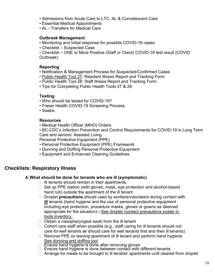- Admissions from Acute Care to LTC, AL & Convalescent Care
- Essential Medical Appointments
- AL Transfers for Medical Care

#### **Outbreak Management**

• Monitoring and initial response for possible COVID-19 cases

• Checklist – Suspected Case

• Checklist – ONE or More Positive (Staff or Client) COVID-19 test result (COVID Outbreak)

#### **Reporting**

- Notification & Management Process for Suspected/Confirmed Cases
- • [Public Health Tool 27:](https://www.fraserhealth.ca/-/media/Project/FraserHealth/FraserHealth/employees/clinical-resources/coronavirus-information/ltc-al-li/resources2/Reporting-to-Public-Health/Respiratory_outbreaks_protocol_COVID_Tool27_2021_fillable.pdf?la=en&rev=219a040a099a43ad97d71b63ec326ac0&hash=6292C531743DE2414D6729FD1F7A247E15C35D96) Resident Illness Report and Tracking Form
- Public Health Tool 28: Staff Illness Report and Tracking Form
- Tips for Completing Public Health Tools 27 & 28

#### **Testing**

- Who should be tested for COVID-19?
- Fraser Health COVID-19 Screening Process
- Swabs

#### **Resources**

- Medical Health Officer (MHO) Orders
- BC-CDC's Infection Prevention and Control Requirements for COVID-19 in Long Term Care and seniors' Assisted Living

Personal Protective Equipment (PPE)

- Personal Protective Equipment (PPE) Framework
- Donning and Doffing Personal Protective Equipment
- Equipment and Enhanced Cleaning Guidelines

### **Checklists: Respiratory Illness**

#### **A. What should be done for tenants who are ill (symptomatic)**

- ◻ Ill tenants should remain in their apartments**.**
- ◻ Set up PPE station (with gloves, mask, eye protection and alcohol-based hand rub) outside the apartment of the ill tenant
- ◻ Droplet **precautions** should used by workers/volunteers during contact with **ill** tenants (hand hygiene and the use of personal protective equipment including eye protection, procedure masks, gloves or gowns as deemed appropriate for the situation)[—See droplet /contact precautions poster in](#page-27-0)  tools [inventory.](#page-27-0)
- $\Box$  Obtain a nasopharyngeal swab from the ill tenant
- ◻ Cohort care staff when possible (e.g., staff caring for ill tenants should not care for well tenants **or** should care for well tenants first and then ill tenants)
- ◻ Remove PPE on leaving apartment of ill tenant and perform hand hygiene. [See donning and doffing tool](http://fhpulse/clinical_resources/clinical_policy_office/Documents/0987/AppD%20Donning%20and%20doffing%20PPE%20Combo.pdf)
- ◻ Ensure hand hygiene is done after removing gloves
- ◻ Ensure hand hygiene is done between contact with different tenants
- □ Arrange for meals to be brought to ill tenants' apartments until cleared from droplet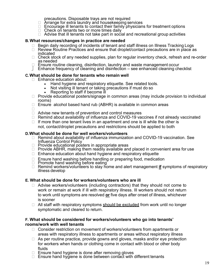precautions. Disposable trays are not required

- ◻ Arrange for extra laundry and housekeeping services
- $\Box$  Encourage ill tenants to contact their family physicians for treatment options
- □ Check on tenants two or more times daily
- $\Box$  Advise that ill tenants not take part in social and recreational group activities

#### **B. What resources/changes in practice are needed**

- ◻ Begin daily recording of incidents of tenant and staff illness on Illness Tracking Logs
- □ Review Routine Practices and ensure that droplet/contact precautions are in place as indicated
- □ Check stock of any needed supplies, plan for regular inventory check, refresh and re-order
- as needed<br>Ensure routine cleaning, disinfection, laundry and waste management occur
- □ Ensure routine cleaning, disinfection, laundry and waste management occur<br>] Enhance frequency of cleaning and disinfection see enhanced cleaning checklist

#### **C.What should be done for tenants who remain well**

- □ Enhance education about:
	- Hand hygiene and respiratory etiquette. See related tools.
	- Not visiting ill tenant or taking precautions if must do so<br>• Reporting to staff if become ill
	- Reporting to staff if become ill
- ◻ Provide educational posters/signage in common areas (may include provision to individual rooms)
- ◻ Ensure alcohol based hand rub (ABHR) is available in common areas

◻

- ◻ Advise new tenants of prevention and control measures
- ◻ Remind about availability of influenza and COVID-19 vaccines if not already vaccinated
- $\Box$  If more than one tenant lives in an apartment and one is ill while the other is not, contact/droplet precautions and restrictions should be applied to both

#### **D.What should be done for well workers/volunteers**

- ◻ Remind about availability of influenza immunization and COVID-19 vaccination. See Influenza Control Policy
- ◻ Provide educational posters in appropriate areas
- $\Box$  Provide ABHR, making them readily available and placed in convenient area for use
- ◻ Enhance education about hand hygiene and respiratory etiquette
- ◻ Ensure hand washing before handling or preparing food, medication
- □ Promote hand washing before eating
- <sup>◻</sup> Remind workers/volunteers to stay home and alert management **if** symptoms of respiratory illness develop

#### **E. What should be done for workers/volunteers who are ill**

- ◻ Advise workers/volunteers (including contractors) that they should not come to work or remain at work if ill with respiratory illness. Ill workers should not return to work until symptoms are resolved **or** five days after onset of illness, whichever is sooner
- $\Box$  All staff with respiratory symptoms should be excluded from work until no longer symptomatic and cleared to return.

#### **F. What should be considered for workers/volunteers who go into tenants' rooms/work with well tenants**

- ◻ Consider restriction on movement of workers/volunteers from apartments or areas with respiratory illness to apartments or areas without respiratory illness
- ◻ As per routine practice, provide gowns and gloves, masks and/or eye protection for workers when hands or clothing come in contact with blood or other body fluids
- ◻ Ensure hand hygiene is done after removing gloves
- □ Ensure hand hygiene is done between contact with different tenants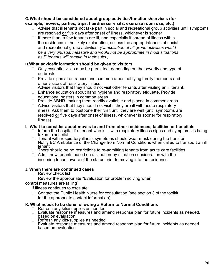#### **G.What should be considered about group activities/functions/services (for example, movies, parties, trips, hairdresser visits, exercise room use, etc.)**

- $\Box$  Advise that ill tenants not take part in social and recreational group activities until symptoms are resolved **or** five days after onset of illness, whichever is sooner
- $\Box$  If more than, a few tenants are ill, and especially if spread of illness within the residence is the likely explanation, assess the appropriateness of social and recreational group activities*. (Cancellation of all group activities would be a very unusual measure and would not be appropriate in most situations as ill tenants will remain in their suits.)*

#### **H.What advice/information should be given to visitors**

- $\Box$  Only essential visits may be permitted, depending on the severity and type of outbreak
- ◻ Provide signs at entrances and common areas notifying family members and other visitors of respiratory illness
- $\Box$  Advise visitors that they should not visit other tenants after visiting an ill tenant.
- ◻ Enhance education about hand hygiene and respiratory etiquette. Provide educational posters in common areas
- ◻ Provide ABHR, making them readily available and placed in common areas
- $\Box$  Advise visitors that they should not visit if they are ill with acute respiratory illness. Ask them to postpone their visit until they are well (until symptoms are resolved **or** five days after onset of illness, whichever is sooner for respiratory illness)

#### **I. What to consider about moves to and from other residences, facilities or hospitals**

- $\Box$  Inform the hospital if a tenant who is ill with respiratory illness signs and symptoms is being taken to hospital
- $\Box$  Tenant with respiratory illness symptoms should wear mask during the transfer
- □ Notify BC Ambulance of the Change from Normal Conditions when called to transport an ill tenant
- $\Box$  There should be no restrictions to re-admitting tenants from acute care facilities
- ◻ Admit new tenants based on a situation-by-situation consideration with the incoming tenant aware of the status prior to moving into the residence

#### **J. When there are continued cases**

- ◻ Review check list
- Review the appropriate "Evaluation for problem solving when
- control measures are failing"

If illness continues to escalate:

□ Contact the Public Health Nurse for consultation (see section 3 of the toolkit for the appropriate contact information).

#### **K. What needs to be done following a Return to Normal Conditions**

- ◻ Refresh any kits/supplies as needed
- □ Evaluate response measures and amend response plan for future incidents as needed, based on evaluation
- ◻ Refresh any kits/supplies as needed
- □ Evaluate response measures and amend response plan for future incidents as needed, based on evaluation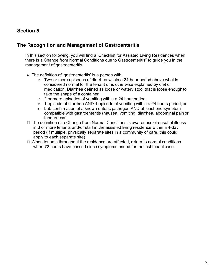# <span id="page-20-0"></span>**Section 5**

### **The Recognition and Management of Gastroenteritis**

In this section following, you will find a 'Checklist for Assisted Living Residences when there is a Change from Normal Conditions due to Gastroenteritis" to guide you in the management of gastroenteritis.

- The definition of 'gastroenteritis' is a person with:
	- $\circ$  Two or more episodes of diarrhea within a 24-hour period above what is considered normal for the tenant or is otherwise explained by diet or medication. Diarrhea defined as loose or watery stool that is loose enough to take the shape of a container;
	- $\circ$  2 or more episodes of vomiting within a 24 hour period;
	- $\circ$  1 episode of diarrhea AND 1 episode of vomiting within a 24 hours period; or
	- o Lab confirmation of a known enteric pathogen AND at least one symptom compatible with gastroenteritis (nausea, vomiting, diarrhea, abdominal pain or tenderness).
- □ The definition of a Change from Normal Conditions is awareness of onset of illness in 3 or more tenants and/or staff in the assisted living residence within a 4-day period (If multiple, physically separate sites in a community of care, this could apply to each separate site)
- $\Box$  When tenants throughout the residence are affected, return to normal conditions when 72 hours have passed since symptoms ended for the last tenant case.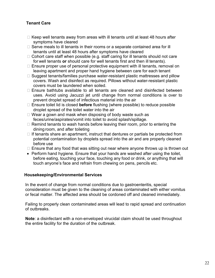#### **Tenant Care**

- $\Box$  Keep well tenants away from areas with ill tenants until at least 48 hours after symptoms have cleared
- $\Box$  Serve meals to ill tenants in their rooms or a separate contained area for ill tenants until at least 48 hours after symptoms have cleared
- $\Box$  Cohort care staff when possible (e.g. staff caring for ill tenants should not care for well tenants **or** should care for well tenants first and then ill tenants).
- $\Box$  Ensure proper use of personal protective equipment with ill tenants, removal on leaving apartment and proper hand hygiene between care for each tenant
- $\Box$  Suggest tenants/families purchase water-resistant plastic mattresses and pillow covers. Wash and disinfect as required. Pillows without water-resistant plastic covers must be laundered when soiled.
- $\Box$  Ensure bathtubs available to all tenants are cleaned and disinfected between uses. Avoid using Jacuzzi jet until change from normal conditions is over to prevent droplet spread of infectious material into the air
- Ensure toilet lid is closed **before** flushing (where possible) to reduce possible droplet spread of the toilet water into the air
- $\Box$  Wear a gown and mask when disposing of body waste such as feces/urine/aspirates/vomit into toilet to avoid splash/spillage.
- $\Box$  Remind tenants to wash hands before leaving their room, prior to entering the dining room, and after toileting
- $\Box$  If tenants share an apartment, instruct that dentures or partials be protected from potential contamination by droplets spread into the air and are properly cleaned before use
- $\Box$  Ensure that any food that was sitting out near where anyone throws up is thrown out
- Perform hand hygiene. Ensure that your hands are washed after using the toilet, before eating, touching your face, touching any food or drink, or anything that will touch anyone's face and refrain from chewing on pens, pencils etc.

#### **Housekeeping/Environmental Services**

In the event of change from normal conditions due to gastroenteritis, special consideration must be given to the cleaning of areas contaminated with either vomitus or fecal matter. The affected area should be cordoned off and cleaned immediately.

Failing to properly clean contaminated areas will lead to rapid spread and continuation of outbreaks.

**Note**: a disinfectant with a non-enveloped virucidal claim should be used throughout the entire facility for the duration of the outbreak.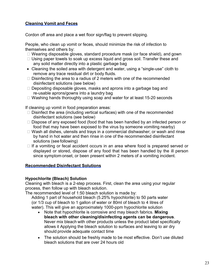#### **Cleaning Vomit and Feces**

Cordon off area and place a wet floor sign/flag to prevent slipping.

People, who clean up vomit or feces, should minimize the risk of infection to themselves and others by:

- □ Wearing disposable gloves, standard procedure mask (or face shield), and gown
- $\Box$  Using paper towels to soak up excess liquid and gross soil. Transfer these and any solid matter directly into a plastic garbage bag
- Cleaning the soiled area with detergent and water, using a "single-use" cloth to remove any trace residual dirt or body fluids.
- $\Box$  Disinfecting the area to a radius of 2 meters with one of the recommended disinfectant solutions (see below)
- $\Box$  Depositing disposable gloves, masks and aprons into a garbage bag and re-usable aprons/gowns into a laundry bag
- □ Washing hands thoroughly using soap and water for at least 15-20 seconds

If cleaning up vomit in food preparation areas:

- $\Box$  Disinfect the area (including vertical surfaces) with one of the recommended disinfectant solutions (see below)
- $\Box$  Dispose of any exposed food (food that has been handled by an infected person or food that may have been exposed to the virus by someone vomiting nearby)
- $\Box$  Wash all dishes, utensils and trays in a commercial dishwasher; or wash and rinse by hand in hot water and then rinse in one of the recommended disinfectant solutions (see following)
- $\Box$  If a vomiting or fecal accident occurs in an area where food is prepared served or displayed or stored, dispose of any food that has been handled by the ill person since symptom onset, or been present within 2 meters of a vomiting incident.

#### **Recommended Disinfectant Solutions**

#### **Hypochlorite (Bleach) Solution**

Cleaning with bleach is a 2-step process. First, clean the area using your regular process, then follow up with bleach solution.

The recommended level of 1:50 bleach solution is made by:

Adding 1 part of household bleach (5.25% hypochlorite) to 50 parts water (or 1/3 cup of bleach to 1 gallon of water or 80ml of bleach to 4 litres of water). This will give an approximately 1000-ppm hypochlorite solution

- Note that hypochlorite is corrosive and may bleach fabrics. **Mixing bleach with other cleaning/disinfecting agents can be dangerous**. Never mix bleach with other products unless the product label specifically allows it Applying the bleach solution to surfaces and leaving to air dry should provide adequate contact time
- The solution should be freshly made to be most effective. Don't use diluted bleach solutions that are over 24 hours old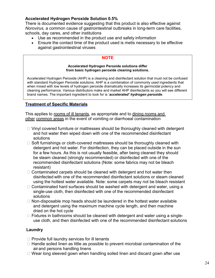#### **Accelerated Hydrogen Peroxide Solution 0.5%**

There is documented evidence suggesting that this product is also effective against *Norovirus,* a common cause of gastrointestinal outbreaks in long-term care facilities, schools, day cares, and other institutions

- Use as recommended in the product use and safety information
- Ensure the contact time of the product used is metis necessary to be effective against gastrointestinal viruses

#### **NOTE**

#### **Accelerated Hydrogen Peroxide solutions differ from basic hydrogen peroxide cleaning solutions.**

Accelerated Hydrogen Peroxide (AHP) is a cleaning and disinfectant solution that must not be confused with standard Hydrogen Peroxide solutions. AHP is a combination of commonly used ingredients that when mixed with low levels of hydrogen peroxide dramatically increases its germicidal potency and cleaning performance. Various distributors make and market AHP disinfectants so you will see different brand names. The important ingredient to look for is '*accelerated' hydrogen peroxide*.

#### **Treatment of Specific Materials**

This applies to rooms of ill tenants, as appropriate and to dining rooms and other common areas in the event of vomiting or diarrhoeal contamination

- $\Box$  Vinyl covered furniture or mattresses should be thoroughly cleaned with detergent and hot water then wiped down with one of the recommended disinfectant solutions
- $\Box$  Soft furnishings or cloth-covered mattresses should be thoroughly cleaned with detergent and hot water. For disinfection, they can be placed outside in the sun for a few hours. As this is not usually feasible, after being cleaned they should be steam cleaned (strongly recommended) or disinfected with one of the recommended disinfectant solutions (Note: some fabrics may not be bleach resistant)
- $\Box$  Contaminated carpets should be cleaned with detergent and hot water then disinfected with one of the recommended disinfectant solutions or steam cleaned using the hottest water available. Note: some carpets may not be bleach resistant
- $\Box$  Contaminated hard surfaces should be washed with detergent and water, using a single-use cloth, then disinfected with one of the recommended disinfectant solutions
- $\Box$  Non-disposable mop heads should be laundered in the hottest water available and detergent using the maximum machine cycle length, and then machine dried on the hot cycle
- □ Fixtures in bathrooms should be cleaned with detergent and water using a singleuse cloth, and then disinfected with one of the recommended disinfectant solutions

#### **Laundry**

- $\Box$  Provide full laundry services for ill tenants
- $\Box$  Handle soiled linen as little as possible to prevent microbial contamination of the air and persons handling linens
- $\Box$  Wear long sleeved gown when handling soiled linen and discard gown after use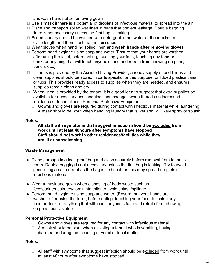and wash hands after removing gown

- $\Box$  Use a mask if there is a potential of droplets of infectious material to spread into the air
- $\Box$  Place and transport soiled wet linen in bags that prevent leakage. Double bagging linen is not necessary unless the first bag is leaking
- $\Box$  Soiled laundry should be washed with detergent in hot water at the maximum cycle length and then machine (hot air) dried
- Wear gloves when handling soiled linen and **wash hands after removing gloves**
- $\Box$  Perform hand hygiene using soap and water (Ensure that your hands are washed after using the toilet, before eating, touching your face, touching any food or drink, or anything that will touch anyone's face and refrain from chewing on pens, pencils etc.)
- $\Box$  If linens is provided by the Assisted Living Provider, a ready supply of bed linens and clean supplies should be stored in carts specific for this purpose, or lidded plastics cans or tubs. This provides ready access to supplies when they are needed, and ensures supplies remain clean and dry.
- $\Box$  When linen is provided by the tenant, it is a good idea to suggest that extra supplies be available for necessary unscheduled linen changes when there is an increased incidence of tenant illness Personal Protective Equipment
	- $\Box$  Gowns and gloves are required during contact with infectious material while laundering
	- $\Box$  A mask should be worn when handling laundry that is wet and will likely spray or splash

#### **Notes:**

- **All staff with symptoms that suggest infection should be excluded from work until at least 48hours after symptoms have stopped**
- **Staff should not work in other residences/facilities while they are ill or convalescing**

#### **Waste Management**

- Place garbage in a leak-proof bag and close securely before removal from tenant's room. Double bagging is not necessary unless the first bag is leaking. Try to avoid generating an air current as the bag is tied shut, as this may spread droplets of infectious material
- Wear a mask and gown when disposing of body waste such as feces/urine/aspirates/vomit into toilet to avoid splash/spillage.
- Perform hand hygiene using soap and water. (Ensure that your hands are washed after using the toilet, before eating, touching your face, touching any food or drink, or anything that will touch anyone's face and refrain from chewing on pens, pencils etc.)

#### **Personal Protective Equipment**

- $\Box$  Gowns and gloves are required for any contact with infectious material
- $\Box$  A mask should be worn when assisting a tenant who is vomiting, having diarrhea or during the cleaning of vomit or fecal matter

#### **Notes:**

 $\Box$  All staff with symptoms that suggest infection should be excluded from work until at least 48hours after symptoms have stopped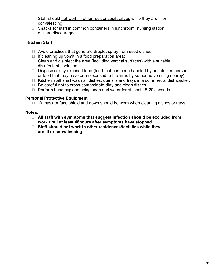- $\Box$  Staff should not work in other residences/facilities while they are ill or convalescing
- $\Box$  Snacks for staff in common containers in lunchroom, nursing station etc. are discouraged

#### **Kitchen Staff**

- $\Box$  Avoid practices that generate droplet spray from used dishes.
- $\Box$  If cleaning up vomit in a food preparation area:
- $\Box$  Clean and disinfect the area (including vertical surfaces) with a suitable disinfectant solution.
- $\Box$  Dispose of any exposed food (food that has been handled by an infected person or food that may have been exposed to the virus by someone vomiting nearby)
- $\Box$  Kitchen staff shall wash all dishes, utensils and trays in a commercial dishwasher;
- $\Box$  Be careful not to cross-contaminate dirty and clean dishes
- $\Box$  Perform hand hygiene using soap and water for at least 15-20 seconds

#### **Personal Protective Equipment**

 $\Box$  A mask or face shield and gown should be worn when cleaning dishes or trays

#### **Notes:**

- **All staff with symptoms that suggest infection should be excluded from work until at least 48hours after symptoms have stopped**
- **Staff should not work in other residences/facilities while they are ill or convalescing**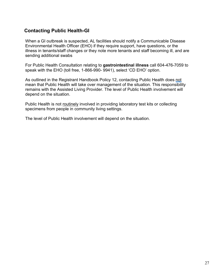# **Contacting Public Health-GI**

When a GI outbreak is suspected, AL facilities should notify a Communicable Disease Environmental Health Officer (EHO) if they require support, have questions, or the illness in tenants/staff changes or they note more tenants and staff becoming ill, and are sending additional swabs

For Public Health Consultation relating to **gastrointestinal illness** call 604-476-7059 to speak with the EHO (toll free, 1-866-990- 9941), select 'CD EHO' option.

As outlined in the Registrant Handbook Policy 12, contacting Public Health does not mean that Public Health will take over management of the situation. This responsibility remains with the Assisted Living Provider. The level of Public Health involvement will depend on the situation.

Public Health is not routinely involved in providing laboratory test kits or collecting specimens from people in community living settings.

The level of Public Health involvement will depend on the situation.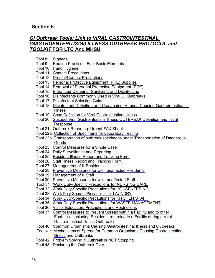#### <span id="page-27-0"></span>**Section 6:**

#### *[GI Outbreak Tools: Link to VIRAL GASTROINTESTINAL](https://www.fraserhealth.ca/-/media/Project/FraserHealth/FraserHealth/Health-Topics/Long-term-care-licensing/Clinical-and-Safety-Information/Viral_gi_outbreak_protocol.pdf) [\(GASTROENTERITIS/GI\)](https://www.fraserhealth.ca/-/media/Project/FraserHealth/FraserHealth/Health-Topics/Long-term-care-licensing/Clinical-and-Safety-Information/Viral_gi_outbreak_protocol.pdf) ILLNESS OUTBREAK PROTOCOL and TOOLKIT* **[FOR LTC And MHSU](https://www.fraserhealth.ca/-/media/Project/FraserHealth/FraserHealth/Health-Topics/Long-term-care-licensing/Clinical-and-Safety-Information/Viral_gi_outbreak_protocol.pdf)**

- Tool 8: [Signage](https://www.fraserhealth.ca/-/media/Project/FraserHealth/FraserHealth/Health-Topics/Long-term-care-licensing/Clinical-and-Safety-Information/Viral_gi_outbreak_protocol.pdf#page=19)
- Tool 9: [Routine Practices: Four Basic Elements](https://www.fraserhealth.ca/-/media/Project/FraserHealth/FraserHealth/Health-Topics/Long-term-care-licensing/Clinical-and-Safety-Information/Viral_gi_outbreak_protocol.pdf#page=22)
- Tool 10: [Hand Hygiene](https://www.fraserhealth.ca/-/media/Project/FraserHealth/FraserHealth/Health-Topics/Long-term-care-licensing/Clinical-and-Safety-Information/Viral_gi_outbreak_protocol.pdf#page=25)
- Tool 11: [Contact Precautions](https://www.fraserhealth.ca/-/media/Project/FraserHealth/FraserHealth/Health-Topics/Long-term-care-licensing/Clinical-and-Safety-Information/Viral_gi_outbreak_protocol.pdf#page=29)
- Tool 12: [Droplet/Contact Precautions](https://www.fraserhealth.ca/-/media/Project/FraserHealth/FraserHealth/Health-Topics/Long-term-care-licensing/Clinical-and-Safety-Information/Viral_gi_outbreak_protocol.pdf#page=30)
- Tool 13: [Personal Protective Equipment \(PPE\) Supplies](https://www.fraserhealth.ca/-/media/Project/FraserHealth/FraserHealth/Health-Topics/Long-term-care-licensing/Clinical-and-Safety-Information/Viral_gi_outbreak_protocol.pdf#page=31)
- Tool 14: [Removal of Personal Protective Equipment \(PPE\)](https://www.fraserhealth.ca/-/media/Project/FraserHealth/FraserHealth/Health-Topics/Long-term-care-licensing/Clinical-and-Safety-Information/Viral_gi_outbreak_protocol.pdf#page=32)
- Tool 15: [Enhanced Cleaning, Sanitizing and Disinfecting](https://www.fraserhealth.ca/-/media/Project/FraserHealth/FraserHealth/Health-Topics/Long-term-care-licensing/Clinical-and-Safety-Information/Viral_gi_outbreak_protocol.pdf#page=33)
- Tool 16: Disinfectants Commonly Used in Viral [GI Outbreaks](https://www.fraserhealth.ca/-/media/Project/FraserHealth/FraserHealth/Health-Topics/Long-term-care-licensing/Clinical-and-Safety-Information/Viral_gi_outbreak_protocol.pdf#page=37)
- Tool 17: [Disinfectant Selection Guide](https://www.fraserhealth.ca/-/media/Project/FraserHealth/FraserHealth/Health-Topics/Long-term-care-licensing/Clinical-and-Safety-Information/Viral_gi_outbreak_protocol.pdf#page=38)
- Tool 18: [Disinfectant Definition and Use against](https://www.fraserhealth.ca/-/media/Project/FraserHealth/FraserHealth/Health-Topics/Long-term-care-licensing/Clinical-and-Safety-Information/Viral_gi_outbreak_protocol.pdf#page=39) Viruses Causing Gastrointestinal [Illness](https://www.fraserhealth.ca/-/media/Project/FraserHealth/FraserHealth/Health-Topics/Long-term-care-licensing/Clinical-and-Safety-Information/Viral_gi_outbreak_protocol.pdf#page=39)
- Tool 19: [Case Definition for Viral Gastrointestinal Illness](https://www.fraserhealth.ca/-/media/Project/FraserHealth/FraserHealth/Health-Topics/Long-term-care-licensing/Clinical-and-Safety-Information/Viral_gi_outbreak_protocol.pdf#page=40)
- Tool 20: Suspect Viral Gastrointestinal Illness [OUTBREAK Definition and Initial](https://www.fraserhealth.ca/-/media/Project/FraserHealth/FraserHealth/Health-Topics/Long-term-care-licensing/Clinical-and-Safety-Information/Viral_gi_outbreak_protocol.pdf#page=41) [Response](https://www.fraserhealth.ca/-/media/Project/FraserHealth/FraserHealth/Health-Topics/Long-term-care-licensing/Clinical-and-Safety-Information/Viral_gi_outbreak_protocol.pdf#page=41)
- Tool 21: [Outbreak Reporting:](https://www.fraserhealth.ca/-/media/Project/FraserHealth/FraserHealth/Health-Topics/Long-term-care-licensing/Clinical-and-Safety-Information/Viral_gi_outbreak_protocol.pdf#page=42) Urgent FAX Sheet
- Tool 22a: [Collection of Specimens for Laboratory Testing](https://www.fraserhealth.ca/-/media/Project/FraserHealth/FraserHealth/Health-Topics/Long-term-care-licensing/Clinical-and-Safety-Information/Viral_gi_outbreak_protocol.pdf#page=43)
- Tool 22b: [Transportation of outbreak specimens under Transportation of](https://www.fraserhealth.ca/-/media/Project/FraserHealth/FraserHealth/Health-Topics/Long-term-care-licensing/Clinical-and-Safety-Information/Viral_gi_outbreak_protocol.pdf#page=44) Dangerous [Goods](https://www.fraserhealth.ca/-/media/Project/FraserHealth/FraserHealth/Health-Topics/Long-term-care-licensing/Clinical-and-Safety-Information/Viral_gi_outbreak_protocol.pdf#page=44)
- Tool 23: [Control Measures for a Single Case](https://www.fraserhealth.ca/-/media/Project/FraserHealth/FraserHealth/Health-Topics/Long-term-care-licensing/Clinical-and-Safety-Information/Viral_gi_outbreak_protocol.pdf#page=45)
- Tool 24: Daily Surveillance [and Reporting](https://www.fraserhealth.ca/-/media/Project/FraserHealth/FraserHealth/Health-Topics/Long-term-care-licensing/Clinical-and-Safety-Information/Viral_gi_outbreak_protocol.pdf#page=46)
- Tool 25: [Resident Illness Report and Tracking Form](https://www.fraserhealth.ca/-/media/Project/FraserHealth/FraserHealth/Health-Topics/Long-term-care-licensing/Clinical-and-Safety-Information/Viral_gi_outbreak_protocol.pdf#page=47)
- Tool 26: Staff Illness Report [and Tracking](https://www.fraserhealth.ca/-/media/Project/FraserHealth/FraserHealth/Health-Topics/Long-term-care-licensing/Clinical-and-Safety-Information/Viral_gi_outbreak_protocol.pdf#page=48) Form
- Tool 27: [Management of](https://www.fraserhealth.ca/-/media/Project/FraserHealth/FraserHealth/Health-Topics/Long-term-care-licensing/Clinical-and-Safety-Information/Viral_gi_outbreak_protocol.pdf#page=49) ill Residents
- Tool 28: Preventive Measures for [well, unaffected Residents](https://www.fraserhealth.ca/-/media/Project/FraserHealth/FraserHealth/Health-Topics/Long-term-care-licensing/Clinical-and-Safety-Information/Viral_gi_outbreak_protocol.pdf#page=50)
- Tool 29: [Management of](https://www.fraserhealth.ca/-/media/Project/FraserHealth/FraserHealth/Health-Topics/Long-term-care-licensing/Clinical-and-Safety-Information/Viral_gi_outbreak_protocol.pdf#page=51) ill Staff
- Tool 30: [Preventive Measures for well, unaffected Staff](https://www.fraserhealth.ca/-/media/Project/FraserHealth/FraserHealth/Health-Topics/Long-term-care-licensing/Clinical-and-Safety-Information/Viral_gi_outbreak_protocol.pdf#page=52)
- Tool 31: [Work Duty-Specific Precautions for NURSING CARE](https://www.fraserhealth.ca/-/media/Project/FraserHealth/FraserHealth/Health-Topics/Long-term-care-licensing/Clinical-and-Safety-Information/Viral_gi_outbreak_protocol.pdf#page=53)
- Tool 32: Work Duty-Specific Precautions [for HOUSEKEEPING](https://www.fraserhealth.ca/-/media/Project/FraserHealth/FraserHealth/Health-Topics/Long-term-care-licensing/Clinical-and-Safety-Information/Viral_gi_outbreak_protocol.pdf#page=55)
- Tool 33: [Work Duty-Specific Precautions for LAUNDRY](https://www.fraserhealth.ca/-/media/Project/FraserHealth/FraserHealth/Health-Topics/Long-term-care-licensing/Clinical-and-Safety-Information/Viral_gi_outbreak_protocol.pdf#page=57)
- Tool 34: Work Duty-Specific Precautions [for KITCHEN STAFF](https://www.fraserhealth.ca/-/media/Project/FraserHealth/FraserHealth/Health-Topics/Long-term-care-licensing/Clinical-and-Safety-Information/Viral_gi_outbreak_protocol.pdf#page=59)
- Tool 35: Work Duty-Specific Precautions [for WASTE MANAGEMENT](https://www.fraserhealth.ca/-/media/Project/FraserHealth/FraserHealth/Health-Topics/Long-term-care-licensing/Clinical-and-Safety-Information/Viral_gi_outbreak_protocol.pdf#page=61)
- Tool 36: [Visitor Education, Precautions and Restrictions](https://www.fraserhealth.ca/-/media/Project/FraserHealth/FraserHealth/Health-Topics/Long-term-care-licensing/Clinical-and-Safety-Information/Viral_gi_outbreak_protocol.pdf#page=63)
- Tool 37: [Control Measures to Prevent](https://www.fraserhealth.ca/-/media/Project/FraserHealth/FraserHealth/Health-Topics/Long-term-care-licensing/Clinical-and-Safety-Information/Viral_gi_outbreak_protocol.pdf#page=64) Spread within a Facility and to other [Facilities--](https://www.fraserhealth.ca/-/media/Project/FraserHealth/FraserHealth/Health-Topics/Long-term-care-licensing/Clinical-and-Safety-Information/Viral_gi_outbreak_protocol.pdf#page=64) including Residents returning to a Facility during a Viral Gastrointestinal Illness Outbreak)
- Tool 40: [Common Organisms Causing Gastrointestinal Illness](https://www.fraserhealth.ca/-/media/Project/FraserHealth/FraserHealth/Health-Topics/Long-term-care-licensing/Clinical-and-Safety-Information/Viral_gi_outbreak_protocol.pdf#page=71) and Outbreaks
- Tool 41: Mechanisms of Spread [for Common Organisms Causing Gastrointestinal](https://www.fraserhealth.ca/-/media/Project/FraserHealth/FraserHealth/Health-Topics/Long-term-care-licensing/Clinical-and-Safety-Information/Viral_gi_outbreak_protocol.pdf#page=75) [Illness](https://www.fraserhealth.ca/-/media/Project/FraserHealth/FraserHealth/Health-Topics/Long-term-care-licensing/Clinical-and-Safety-Information/Viral_gi_outbreak_protocol.pdf#page=75) and Outbreaks
- Tool 42: [Problem Solving if Outbreak is NOT Stopping](https://www.fraserhealth.ca/-/media/Project/FraserHealth/FraserHealth/Health-Topics/Long-term-care-licensing/Clinical-and-Safety-Information/Viral_gi_outbreak_protocol.pdf#page=76)
- Tool 43: [Declaring the Outbreak Over](https://www.fraserhealth.ca/-/media/Project/FraserHealth/FraserHealth/Health-Topics/Long-term-care-licensing/Clinical-and-Safety-Information/Viral_gi_outbreak_protocol.pdf#page=77)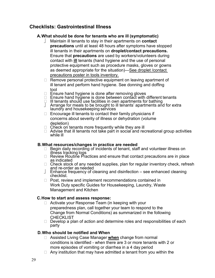### **Checklists: Gastrointestinal Illness**

#### **A.What should be done for tenants who are ill (symptomatic)**

- Maintain ill tenants to stay in their apartments on **contact precautions** until at least 48 hours after symptoms have stopped ill tenants in their apartments on **droplet/contact precautions.**  Ensure that **precautions** are used by workers/volunteers during contact with **ill** tenants (hand hygiene and the use of personal protective equipment such as procedure masks, gloves or gowns as deemed appropriate for the situation)[—See droplet /contact](#page-27-0)  [precautions poster in tools](#page-27-0) inventory.
- □ Remove personal protective equipment on leaving apartment of ill tenant and perform hand hygiene. See donning and doffing tool
- ◻ Ensure hand hygiene is done after removing gloves
- ◻ Ensure hand hygiene is done between contact with different tenants
- 
- □ Ill tenants should use facilities in own apartments for bathing<br>] Arrange for meals to be brought to ill tenants' apartments and for extra laundry and housekeeping services
- $\Box$  Encourage ill tenants to contact their family physicians if concerns about severity of illness or dehydration (volume depletion)
- $\Box$  Check on tenants more frequently while they are ill
- ◻ Advise that ill tenants not take part in social and recreational group activities while ill

#### **B.What resources/changes in practice are needed**

- □ Begin daily recording of incidents of tenant, staff and volunteer illness on illness tracking logs
- □ Review Routine Practices and ensure that contact precautions are in place as indicated<br>□ Check stock of any needed supplies, plan for regular inventory check, refresh
- 
- and re-order as needed<br>
Finance frequency of cleaning and disinfection see enhanced cleaning<br>
checklist.
- ◻ Post, review and implement recommendations contained in Work Duty specific Guides for Housekeeping, Laundry, Waste Management and Kitchen

#### **C.How to start and assess response:**

- ◻ Activate your Response Team (in keeping with your preparedness plan, call together your team to respond to the Change from Normal Conditions) as summarized in the following **CHECKLIST**
- □ Develop a plan of action and determine roles and responsibilities of each party

#### **D.Who should be notified and When**

- ◻ Assisted Living Case Manager **when** change from normal conditions is identified - when there are 3 or more tenants with 2 or more episodes of vomiting or diarrhea in a 4 day period
- $\Box$  Any institution that may have admitted a tenant from you within the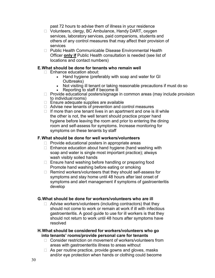past 72 hours to advise them of illness in your residence

- ◻ Volunteers, clergy, BC Ambulance, Handy DART, oxygen services, laboratory services, paid companions, students and others of any control measures that may affect their provision of services
- □ Public Health Communicable Disease Environmental Health Officer **only if** Public Health consultation is needed (see list of locations and contact numbers)

#### **E.What should be done for tenants who remain well**

- □ Enhance education about:
	- Hand hygiene (preferably with soap and water for GI Outbreaks)
	- Not visiting ill tenant or taking reasonable precautions if must do so
	- Reporting to staff if become ill
- ◻ Provide educational posters/signage in common areas (may include provision to individual rooms)
- ◻ Ensure adequate supplies are available
- ◻ Advise new tenants of prevention and control measures
- □ If more than one tenant lives in an apartment and one is ill while the other is not, the well tenant should practice proper hand hygiene before leaving the room and prior to entering the dining room and self-assess for symptoms. Increase monitoring for symptoms on these tenants by staff

#### **F.What should be done for well workers/volunteers**

- ◻ Provide educational posters in appropriate areas
- ◻ Enhance education about hand hygiene (hand washing with soap and water is single most important practice); always wash visibly soiled hands
- ◻ Ensure hand washing before handling or preparing food Promote hand washing before eating or smoking
- ◻ Remind workers/volunteers that they should self-assess for symptoms and stay home until 48 hours after last onset of symptoms and alert management if symptoms of gastroenteritis develop

#### **G.What should be done for workers/volunteers who are ill**

◻ Advise workers/volunteers (including contractors) that they should not come to work or remain at work if ill with infectious gastroenteritis. A good guide to use for ill workers is that they should not return to work until 48 hours after symptoms have resolved

#### **H.What should be considered for workers/volunteers who go into tenants' rooms/provide personal care for tenants**

- □ Consider restriction on movement of workers/volunteers from areas with gastroenteritis illness to areas without
- □ As per routine practice, provide gowns and gloves, masks and/or eye protection when hands or clothing could become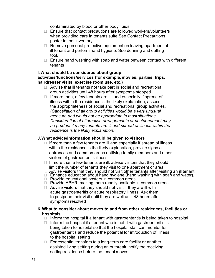contaminated by blood or other body fluids.

- ◻ Ensure that contact precautions are followed workers/volunteers when providing care in tenants suite [See Contact Precautions](#page-27-0)  [poster in tool](#page-27-0) inventory
- □ Remove personal protective equipment on leaving apartment of ill tenant and perform hand hygiene. See donning and doffing tool.
- ◻ Ensure hand washing with soap and water between contact with different tenants

#### **I. What should be considered about group activities/functions/services (for example,movies, parties, trips, hairdresser visits, exercise room use, etc.)**

- ◻ Advise that ill tenants not take part in social and recreational group activities until 48 hours after symptoms stopped
- □ If more than, a few tenants are ill, and especially if spread of illness within the residence is the likely explanation, assess the appropriateness of social and recreational group activities*. (Cancellation of all group activities would be a very unusual measure and would not be appropriate in most situations. Consideration of alternative arrangements or postponement may be prudent if many tenants are ill and spread of illness within the residence is the likely explanation)*

#### **J.What advice/information should be given to visitors**

- □ If more than a few tenants are ill and especially if spread of illness within the residence is the likely explanation, provide signs at entrances and common areas notifying family members and other visitors of gastroenteritis illness
- $\Box$  If more than a few tenants are ill, advise visitors that they should limit the number of tenants they visit to one apartment or area
- $\Box$  Advise visitors that they should not visit other tenants after visiting an ill tenant
- ◻ Enhance education about hand hygiene (hand washing with soap and water).
- ◻ Provide educational posters in common areas
- ◻ Provide ABHR, making them readily available in common areas
- $\Box$  Advise visitors that they should not visit if they are ill with acute gastroenteritis or acute respiratory illness. Ask them to postpone their visit until they are well until 48 hours after symptoms resolved

#### **K.What to consider about moves to and from other residences, facilities or hospitals**

- $\Box$  Inform the hospital if a tenant with gastroenteritis is being taken to hospital
- $\Box$  Inform the hospital if a tenant who is not ill with gastroenteritis is being taken to hospital so that the hospital staff can monitor for gastroenteritis and reduce the potential for introduction of illness to the hospital setting
- □ For essential transfers to a long-term care facility or another assisted living setting during an outbreak, notify the receiving setting residence before the tenant moves